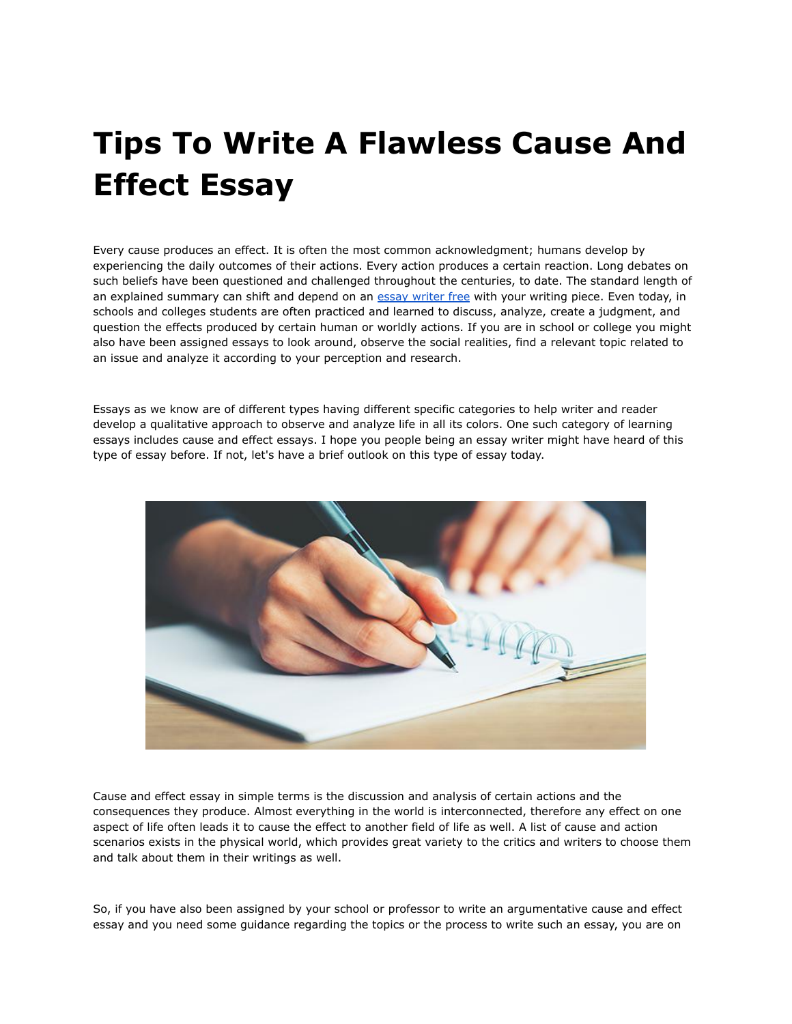# **Tips To Write A Flawless Cause And Effect Essay**

Every cause produces an effect. It is often the most common acknowledgment; humans develop by experiencing the daily outcomes of their actions. Every action produces a certain reaction. Long debates on such beliefs have been questioned and challenged throughout the centuries, to date. The standard length of an explained summary can shift and depend on an essay [writer](https://youressaywriter.net/) free with your writing piece. Even today, in schools and colleges students are often practiced and learned to discuss, analyze, create a judgment, and question the effects produced by certain human or worldly actions. If you are in school or college you might also have been assigned essays to look around, observe the social realities, find a relevant topic related to an issue and analyze it according to your perception and research.

Essays as we know are of different types having different specific categories to help writer and reader develop a qualitative approach to observe and analyze life in all its colors. One such category of learning essays includes cause and effect essays. I hope you people being an essay writer might have heard of this type of essay before. If not, let's have a brief outlook on this type of essay today.



Cause and effect essay in simple terms is the discussion and analysis of certain actions and the consequences they produce. Almost everything in the world is interconnected, therefore any effect on one aspect of life often leads it to cause the effect to another field of life as well. A list of cause and action scenarios exists in the physical world, which provides great variety to the critics and writers to choose them and talk about them in their writings as well.

So, if you have also been assigned by your school or professor to write an argumentative cause and effect essay and you need some guidance regarding the topics or the process to write such an essay, you are on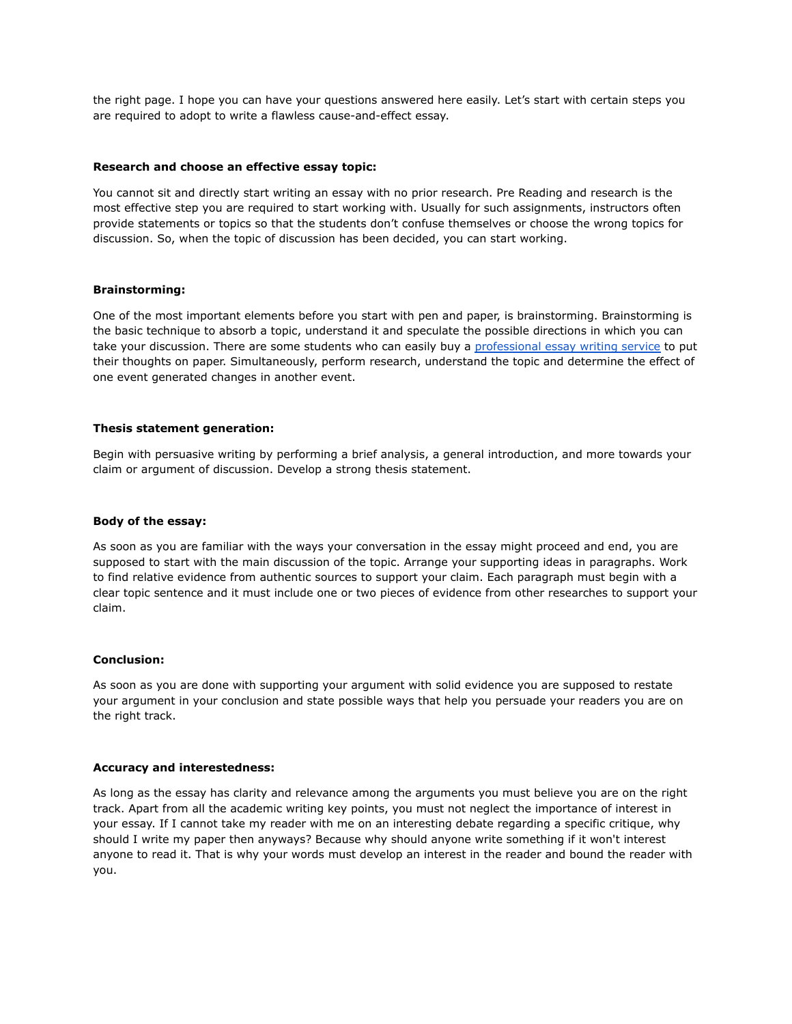the right page. I hope you can have your questions answered here easily. Let's start with certain steps you are required to adopt to write a flawless cause-and-effect essay.

## **Research and choose an effective essay topic:**

You cannot sit and directly start writing an essay with no prior research. Pre Reading and research is the most effective step you are required to start working with. Usually for such assignments, instructors often provide statements or topics so that the students don't confuse themselves or choose the wrong topics for discussion. So, when the topic of discussion has been decided, you can start working.

## **Brainstorming:**

One of the most important elements before you start with pen and paper, is brainstorming. Brainstorming is the basic technique to absorb a topic, understand it and speculate the possible directions in which you can take your discussion. There are some students who can easily buy a [professional](https://theessaywritingservice.com/) essay writing service to put their thoughts on paper. Simultaneously, perform research, understand the topic and determine the effect of one event generated changes in another event.

## **Thesis statement generation:**

Begin with persuasive writing by performing a brief analysis, a general introduction, and more towards your claim or argument of discussion. Develop a strong thesis statement.

#### **Body of the essay:**

As soon as you are familiar with the ways your conversation in the essay might proceed and end, you are supposed to start with the main discussion of the topic. Arrange your supporting ideas in paragraphs. Work to find relative evidence from authentic sources to support your claim. Each paragraph must begin with a clear topic sentence and it must include one or two pieces of evidence from other researches to support your claim.

#### **Conclusion:**

As soon as you are done with supporting your argument with solid evidence you are supposed to restate your argument in your conclusion and state possible ways that help you persuade your readers you are on the right track.

### **Accuracy and interestedness:**

As long as the essay has clarity and relevance among the arguments you must believe you are on the right track. Apart from all the academic writing key points, you must not neglect the importance of interest in your essay. If I cannot take my reader with me on an interesting debate regarding a specific critique, why should I write my paper then anyways? Because why should anyone write something if it won't interest anyone to read it. That is why your words must develop an interest in the reader and bound the reader with you.